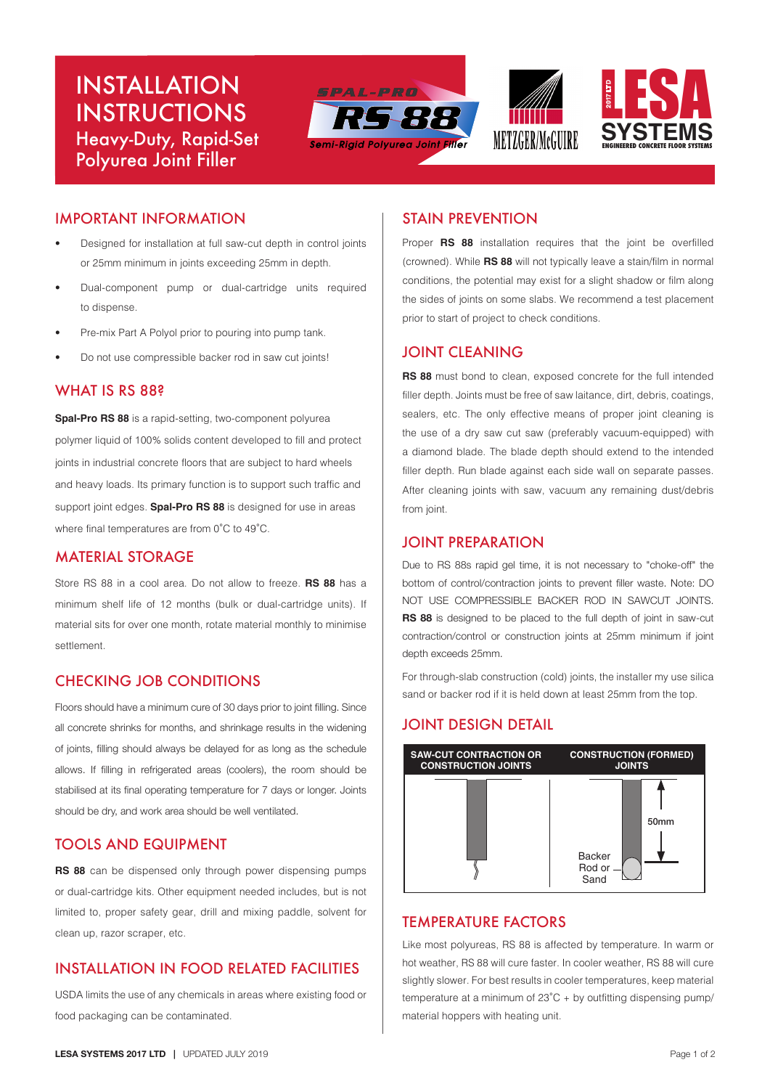# INSTALLATION INSTRUCTIONS Heavy-Duty, Rapid-Set Polyurea Joint Filler







## IMPORTANT INFORMATION

- Designed for installation at full saw-cut depth in control joints or 25mm minimum in joints exceeding 25mm in depth.
- Dual-component pump or dual-cartridge units required to dispense.
- Pre-mix Part A Polyol prior to pouring into pump tank.
- Do not use compressible backer rod in saw cut joints!

## WHAT IS RS 88?

**Spal-Pro RS 88** is a rapid-setting, two-component polyurea polymer liquid of 100% solids content developed to fill and protect joints in industrial concrete floors that are subject to hard wheels and heavy loads. Its primary function is to support such traffic and support joint edges. **Spal-Pro RS 88** is designed for use in areas where final temperatures are from 0˚C to 49˚C.

#### MATERIAL STORAGE

Store RS 88 in a cool area. Do not allow to freeze. **RS 88** has a minimum shelf life of 12 months (bulk or dual-cartridge units). If material sits for over one month, rotate material monthly to minimise settlement.

## CHECKING JOB CONDITIONS

Floors should have a minimum cure of 30 days prior to joint filling. Since all concrete shrinks for months, and shrinkage results in the widening of joints, filling should always be delayed for as long as the schedule allows. If filling in refrigerated areas (coolers), the room should be stabilised at its final operating temperature for 7 days or longer. Joints should be dry, and work area should be well ventilated.

# TOOLS AND EQUIPMENT

**RS 88** can be dispensed only through power dispensing pumps or dual-cartridge kits. Other equipment needed includes, but is not limited to, proper safety gear, drill and mixing paddle, solvent for clean up, razor scraper, etc.

## INSTALLATION IN FOOD RELATED FACILITIES

USDA limits the use of any chemicals in areas where existing food or food packaging can be contaminated.

#### STAIN PREVENTION

Proper **RS 88** installation requires that the joint be overfilled (crowned). While **RS 88** will not typically leave a stain/film in normal conditions, the potential may exist for a slight shadow or film along the sides of joints on some slabs. We recommend a test placement prior to start of project to check conditions.

#### JOINT CLEANING

**RS 88** must bond to clean, exposed concrete for the full intended filler depth. Joints must be free of saw laitance, dirt, debris, coatings, sealers, etc. The only effective means of proper joint cleaning is the use of a dry saw cut saw (preferably vacuum-equipped) with a diamond blade. The blade depth should extend to the intended filler depth. Run blade against each side wall on separate passes. After cleaning joints with saw, vacuum any remaining dust/debris from joint.

#### JOINT PREPARATION

Due to RS 88s rapid gel time, it is not necessary to "choke-off" the bottom of control/contraction joints to prevent filler waste. Note: DO NOT USE COMPRESSIBLE BACKER ROD IN SAWCUT JOINTS. **RS 88** is designed to be placed to the full depth of joint in saw-cut contraction/control or construction joints at 25mm minimum if joint depth exceeds 25mm.

For through-slab construction (cold) joints, the installer my use silica sand or backer rod if it is held down at least 25mm from the top.

#### JOINT DESIGN DETAIL



## TEMPERATURE FACTORS

Like most polyureas, RS 88 is affected by temperature. In warm or hot weather, RS 88 will cure faster. In cooler weather, RS 88 will cure slightly slower. For best results in cooler temperatures, keep material temperature at a minimum of 23˚C + by outfitting dispensing pump/ material hoppers with heating unit.